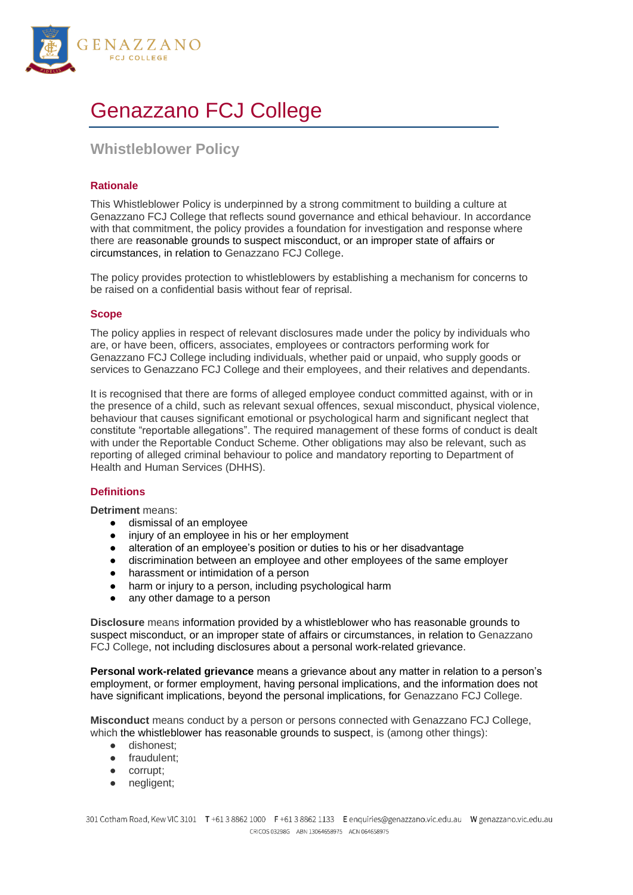

# Genazzano FCJ College

# **Whistleblower Policy**

# **Rationale**

This Whistleblower Policy is underpinned by a strong commitment to building a culture at Genazzano FCJ College that reflects sound governance and ethical behaviour. In accordance with that commitment, the policy provides a foundation for investigation and response where there are reasonable grounds to suspect misconduct, or an improper state of affairs or circumstances, in relation to Genazzano FCJ College.

The policy provides protection to whistleblowers by establishing a mechanism for concerns to be raised on a confidential basis without fear of reprisal.

# **Scope**

The policy applies in respect of relevant disclosures made under the policy by individuals who are, or have been, officers, associates, employees or contractors performing work for Genazzano FCJ College including individuals, whether paid or unpaid, who supply goods or services to Genazzano FCJ College and their employees, and their relatives and dependants.

It is recognised that there are forms of alleged employee conduct committed against, with or in the presence of a child, such as relevant sexual offences, sexual misconduct, physical violence, behaviour that causes significant emotional or psychological harm and significant neglect that constitute "reportable allegations". The required management of these forms of conduct is dealt with under the Reportable Conduct Scheme. Other obligations may also be relevant, such as reporting of alleged criminal behaviour to police and mandatory reporting to Department of Health and Human Services (DHHS).

# **Definitions**

**Detriment** means:

- dismissal of an employee
- injury of an employee in his or her employment
- alteration of an employee's position or duties to his or her disadvantage
- discrimination between an employee and other employees of the same employer
- harassment or intimidation of a person
- harm or injury to a person, including psychological harm
- any other damage to a person

**Disclosure** means information provided by a whistleblower who has reasonable grounds to suspect misconduct, or an improper state of affairs or circumstances, in relation to Genazzano FCJ College, not including disclosures about a personal work-related grievance.

**Personal work-related grievance** means a grievance about any matter in relation to a person's employment, or former employment, having personal implications, and the information does not have significant implications, beyond the personal implications, for Genazzano FCJ College.

**Misconduct** means conduct by a person or persons connected with Genazzano FCJ College, which the whistleblower has reasonable grounds to suspect, is (among other things):

- dishonest;
- fraudulent;
- corrupt;
- negligent;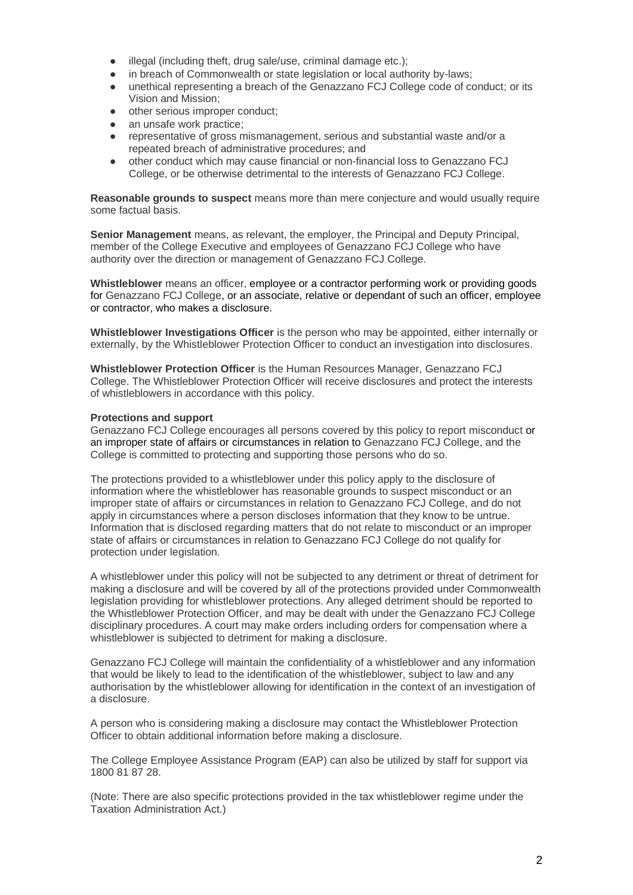- illegal (including theft, drug sale/use, criminal damage etc.);
- in breach of Commonwealth or state legislation or local authority by-laws;
- unethical representing a breach of the Genazzano FCJ College code of conduct; or its Vision and Mission;
- other serious improper conduct;
- an unsafe work practice;
- representative of gross mismanagement, serious and substantial waste and/or a repeated breach of administrative procedures; and
- other conduct which may cause financial or non-financial loss to Genazzano FCJ College, or be otherwise detrimental to the interests of Genazzano FCJ College.

**Reasonable grounds to suspect** means more than mere conjecture and would usually require some factual basis.

**Senior Management** means, as relevant, the employer, the Principal and Deputy Principal, member of the College Executive and employees of Genazzano FCJ College who have authority over the direction or management of Genazzano FCJ College.

**Whistleblower** means an officer, employee or a contractor performing work or providing goods for Genazzano FCJ College, or an associate, relative or dependant of such an officer, employee or contractor, who makes a disclosure.

**Whistleblower Investigations Officer** is the person who may be appointed, either internally or externally, by the Whistleblower Protection Officer to conduct an investigation into disclosures.

**Whistleblower Protection Officer** is the Human Resources Manager, Genazzano FCJ College. The Whistleblower Protection Officer will receive disclosures and protect the interests of whistleblowers in accordance with this policy.

# **Protections and support**

Genazzano FCJ College encourages all persons covered by this policy to report misconduct or an improper state of affairs or circumstances in relation to Genazzano FCJ College, and the College is committed to protecting and supporting those persons who do so.

The protections provided to a whistleblower under this policy apply to the disclosure of information where the whistleblower has reasonable grounds to suspect misconduct or an improper state of affairs or circumstances in relation to Genazzano FCJ College, and do not apply in circumstances where a person discloses information that they know to be untrue. Information that is disclosed regarding matters that do not relate to misconduct or an improper state of affairs or circumstances in relation to Genazzano FCJ College do not qualify for protection under legislation.

A whistleblower under this policy will not be subjected to any detriment or threat of detriment for making a disclosure and will be covered by all of the protections provided under Commonwealth legislation providing for whistleblower protections. Any alleged detriment should be reported to the Whistleblower Protection Officer, and may be dealt with under the Genazzano FCJ College disciplinary procedures. A court may make orders including orders for compensation where a whistleblower is subjected to detriment for making a disclosure.

Genazzano FCJ College will maintain the confidentiality of a whistleblower and any information that would be likely to lead to the identification of the whistleblower, subject to law and any authorisation by the whistleblower allowing for identification in the context of an investigation of a disclosure.

A person who is considering making a disclosure may contact the Whistleblower Protection Officer to obtain additional information before making a disclosure.

The College Employee Assistance Program (EAP) can also be utilized by staff for support via 1800 81 87 28.

(Note: There are also specific protections provided in the tax whistleblower regime under the Taxation Administration Act.)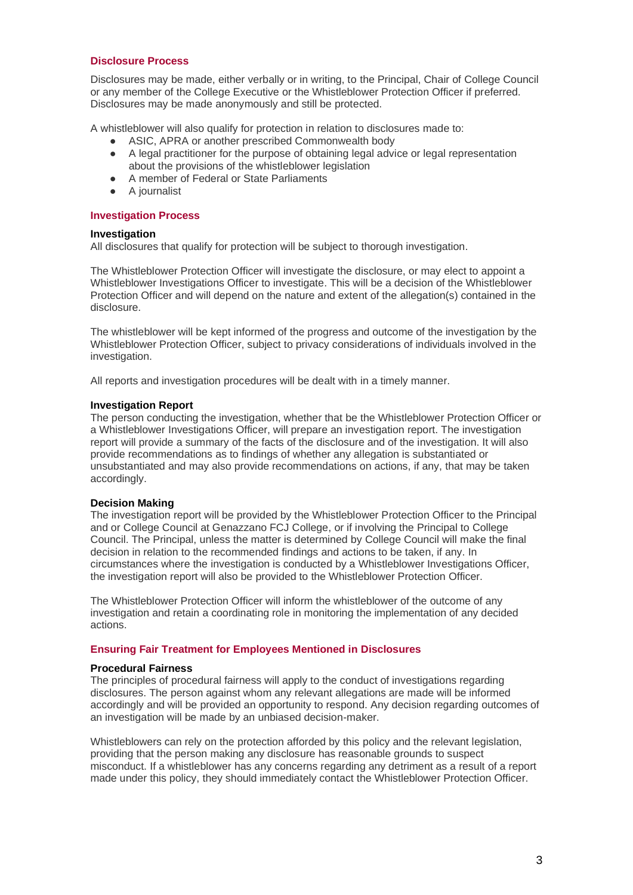#### **Disclosure Process**

Disclosures may be made, either verbally or in writing, to the Principal, Chair of College Council or any member of the College Executive or the Whistleblower Protection Officer if preferred. Disclosures may be made anonymously and still be protected.

A whistleblower will also qualify for protection in relation to disclosures made to:

- ASIC, APRA or another prescribed Commonwealth body
- A legal practitioner for the purpose of obtaining legal advice or legal representation about the provisions of the whistleblower legislation
- A member of Federal or State Parliaments
- A journalist

#### **Investigation Process**

#### **Investigation**

All disclosures that qualify for protection will be subject to thorough investigation.

The Whistleblower Protection Officer will investigate the disclosure, or may elect to appoint a Whistleblower Investigations Officer to investigate. This will be a decision of the Whistleblower Protection Officer and will depend on the nature and extent of the allegation(s) contained in the disclosure.

The whistleblower will be kept informed of the progress and outcome of the investigation by the Whistleblower Protection Officer, subject to privacy considerations of individuals involved in the investigation.

All reports and investigation procedures will be dealt with in a timely manner.

#### **Investigation Report**

The person conducting the investigation, whether that be the Whistleblower Protection Officer or a Whistleblower Investigations Officer, will prepare an investigation report. The investigation report will provide a summary of the facts of the disclosure and of the investigation. It will also provide recommendations as to findings of whether any allegation is substantiated or unsubstantiated and may also provide recommendations on actions, if any, that may be taken accordingly.

#### **Decision Making**

The investigation report will be provided by the Whistleblower Protection Officer to the Principal and or College Council at Genazzano FCJ College, or if involving the Principal to College Council. The Principal, unless the matter is determined by College Council will make the final decision in relation to the recommended findings and actions to be taken, if any. In circumstances where the investigation is conducted by a Whistleblower Investigations Officer, the investigation report will also be provided to the Whistleblower Protection Officer.

The Whistleblower Protection Officer will inform the whistleblower of the outcome of any investigation and retain a coordinating role in monitoring the implementation of any decided actions.

#### **Ensuring Fair Treatment for Employees Mentioned in Disclosures**

#### **Procedural Fairness**

The principles of procedural fairness will apply to the conduct of investigations regarding disclosures. The person against whom any relevant allegations are made will be informed accordingly and will be provided an opportunity to respond. Any decision regarding outcomes of an investigation will be made by an unbiased decision-maker.

Whistleblowers can rely on the protection afforded by this policy and the relevant legislation, providing that the person making any disclosure has reasonable grounds to suspect misconduct. If a whistleblower has any concerns regarding any detriment as a result of a report made under this policy, they should immediately contact the Whistleblower Protection Officer.